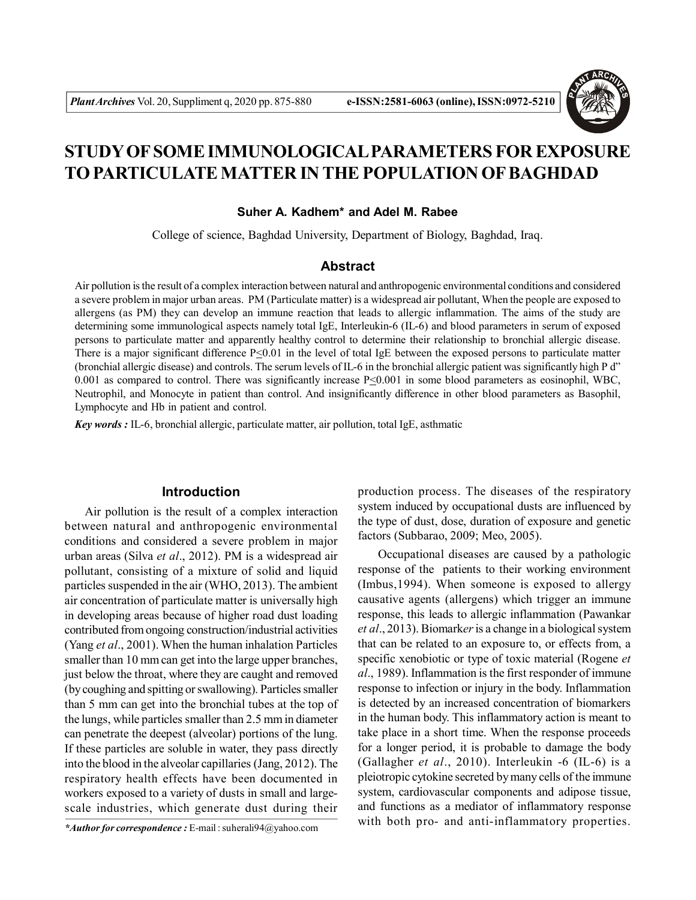

# **STUDY OF SOME IMMUNOLOGICAL PARAMETERS FOR EXPOSURE TO PARTICULATE MATTER IN THE POPULATION OF BAGHDAD**

# **Suher A. Kadhem\* and Adel M. Rabee**

College of science, Baghdad University, Department of Biology, Baghdad, Iraq.

#### **Abstract**

Air pollution is the result of a complex interaction between natural and anthropogenic environmental conditions and considered a severe problem in major urban areas. PM (Particulate matter) is a widespread air pollutant, When the people are exposed to allergens (as PM) they can develop an immune reaction that leads to allergic inflammation. The aims of the study are determining some immunological aspects namely total IgE, Interleukin-6 (IL-6) and blood parameters in serum of exposed persons to particulate matter and apparently healthy control to determine their relationship to bronchial allergic disease. There is a major significant difference  $P \le 0.01$  in the level of total IgE between the exposed persons to particulate matter (bronchial allergic disease) and controls. The serum levels of IL-6 in the bronchial allergic patient was significantly high P d" 0.001 as compared to control. There was significantly increase  $P \le 0.001$  in some blood parameters as eosinophil, WBC, Neutrophil, and Monocyte in patient than control. And insignificantly difference in other blood parameters as Basophil, Lymphocyte and Hb in patient and control.

*Key words :* IL-6, bronchial allergic, particulate matter, air pollution, total IgE, asthmatic

# **Introduction**

Air pollution is the result of a complex interaction between natural and anthropogenic environmental conditions and considered a severe problem in major urban areas (Silva *et al*., 2012). PM is a widespread air pollutant, consisting of a mixture of solid and liquid particles suspended in the air (WHO, 2013). The ambient air concentration of particulate matter is universally high in developing areas because of higher road dust loading contributed from ongoing construction/industrial activities (Yang *et al*., 2001). When the human inhalation Particles smaller than 10 mm can get into the large upper branches, just below the throat, where they are caught and removed (by coughing and spitting or swallowing). Particles smaller than 5 mm can get into the bronchial tubes at the top of the lungs, while particles smaller than 2.5 mm in diameter can penetrate the deepest (alveolar) portions of the lung. If these particles are soluble in water, they pass directly into the blood in the alveolar capillaries (Jang, 2012). The respiratory health effects have been documented in workers exposed to a variety of dusts in small and largescale industries, which generate dust during their

production process. The diseases of the respiratory system induced by occupational dusts are influenced by the type of dust, dose, duration of exposure and genetic factors (Subbarao, 2009; Meo, 2005).

Occupational diseases are caused by a pathologic response of the patients to their working environment (Imbus,1994). When someone is exposed to allergy causative agents (allergens) which trigger an immune response, this leads to allergic inflammation (Pawankar *et al*., 2013). Biomark*er* is a change in a biological system that can be related to an exposure to, or effects from, a specific xenobiotic or type of toxic material (Rogene *et al*., 1989). Inflammation is the first responder of immune response to infection or injury in the body. Inflammation is detected by an increased concentration of biomarkers in the human body. This inflammatory action is meant to take place in a short time. When the response proceeds for a longer period, it is probable to damage the body (Gallagher *et al*., 2010). Interleukin -6 (IL-6) is a pleiotropic cytokine secreted by many cells of the immune system, cardiovascular components and adipose tissue, and functions as a mediator of inflammatory response with both pro- and anti-inflammatory properties.

*<sup>\*</sup>Author for correspondence :* E-mail : suherali94@yahoo.com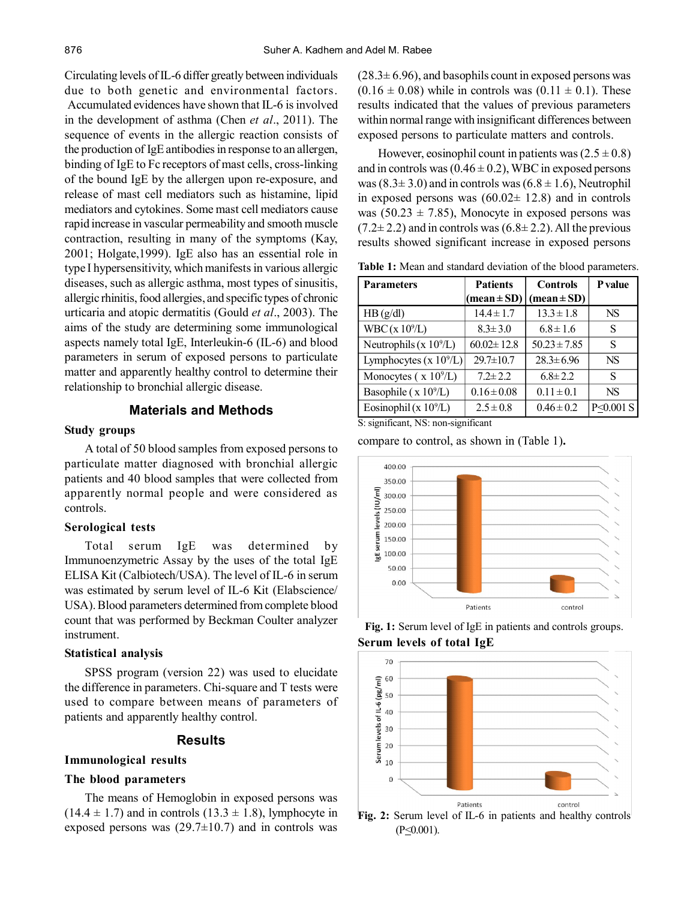Circulating levels of IL-6 differ greatly between individuals due to both genetic and environmental factors. Accumulated evidences have shown that IL-6 is involved in the development of asthma (Chen *et al*., 2011). The sequence of events in the allergic reaction consists of the production of IgE antibodies in response to an allergen, binding of IgE to Fc receptors of mast cells, cross-linking of the bound IgE by the allergen upon re-exposure, and release of mast cell mediators such as histamine, lipid mediators and cytokines. Some mast cell mediators cause rapid increase in vascular permeability and smooth muscle contraction, resulting in many of the symptoms (Kay, 2001; Holgate,1999). IgE also has an essential role in type I hypersensitivity, which manifests in various allergic diseases, such as allergic asthma, most types of sinusitis, allergic rhinitis, food allergies, and specific types of chronic urticaria and atopic dermatitis (Gould *et al*., 2003). The aims of the study are determining some immunological aspects namely total IgE, Interleukin-6 (IL-6) and blood parameters in serum of exposed persons to particulate matter and apparently healthy control to determine their relationship to bronchial allergic disease.

## **Materials and Methods**

# **Study groups**

A total of 50 blood samples from exposed persons to particulate matter diagnosed with bronchial allergic patients and 40 blood samples that were collected from apparently normal people and were considered as controls.

#### **Serological tests**

Total serum IgE was determined by Immunoenzymetric Assay by the uses of the total IgE ELISA Kit (Calbiotech/USA). The level of IL-6 in serum was estimated by serum level of IL-6 Kit (Elabscience/ USA). Blood parameters determined from complete blood count that was performed by Beckman Coulter analyzer instrument.

#### **Statistical analysis**

SPSS program (version 22) was used to elucidate the difference in parameters. Chi-square and T tests were used to compare between means of parameters of patients and apparently healthy control.

#### **Results**

# **Immunological results**

# **The blood parameters**

The means of Hemoglobin in exposed persons was  $(14.4 \pm 1.7)$  and in controls  $(13.3 \pm 1.8)$ , lymphocyte in exposed persons was  $(29.7\pm10.7)$  and in controls was  $(28.3 \pm 6.96)$ , and basophils count in exposed persons was  $(0.16 \pm 0.08)$  while in controls was  $(0.11 \pm 0.1)$ . These results indicated that the values of previous parameters within normal range with insignificant differences between exposed persons to particulate matters and controls.

However, eosinophil count in patients was  $(2.5 \pm 0.8)$ and in controls was  $(0.46 \pm 0.2)$ , WBC in exposed persons was  $(8.3 \pm 3.0)$  and in controls was  $(6.8 \pm 1.6)$ , Neutrophil in exposed persons was  $(60.02 \pm 12.8)$  and in controls was  $(50.23 \pm 7.85)$ , Monocyte in exposed persons was  $(7.2\pm 2.2)$  and in controls was  $(6.8\pm 2.2)$ . All the previous results showed significant increase in exposed persons

**Table 1:** Mean and standard deviation of the blood parameters.

| <b>Parameters</b>          | <b>Patients</b>  | <b>Controls</b>               | <b>P</b> value |
|----------------------------|------------------|-------------------------------|----------------|
|                            | $(mean \pm SD)$  | $(\text{mean} \pm \text{SD})$ |                |
| HB(g/dl)                   | $14.4 \pm 1.7$   | $13.3 \pm 1.8$                | <b>NS</b>      |
| WBC(x 10 <sup>9</sup> /L)  | $8.3 \pm 3.0$    | $6.8 \pm 1.6$                 | S              |
| Neutrophils ( $x 10^9/L$ ) | $60.02 \pm 12.8$ | $50.23 \pm 7.85$              | S              |
| Lymphocytes (x $10^9$ /L)  | $29.7 \pm 10.7$  | $28.3 \pm 6.96$               | <b>NS</b>      |
| Monocytes ( $x 10^9/L$ )   | $7.2 \pm 2.2$    | $6.8 \pm 2.2$                 | S              |
| Basophile ( $x 10^9/L$ )   | $0.16 \pm 0.08$  | $0.11 \pm 0.1$                | <b>NS</b>      |
| Eosinophil (x $10^9$ /L)   | $2.5 \pm 0.8$    | $0.46 \pm 0.2$                | P<0.001 S      |

S: significant, NS: non-significant

compare to control, as shown in (Table 1)**.**



**Fig. 1:** Serum level of IgE in patients and controls groups. **Serum levels of total IgE**



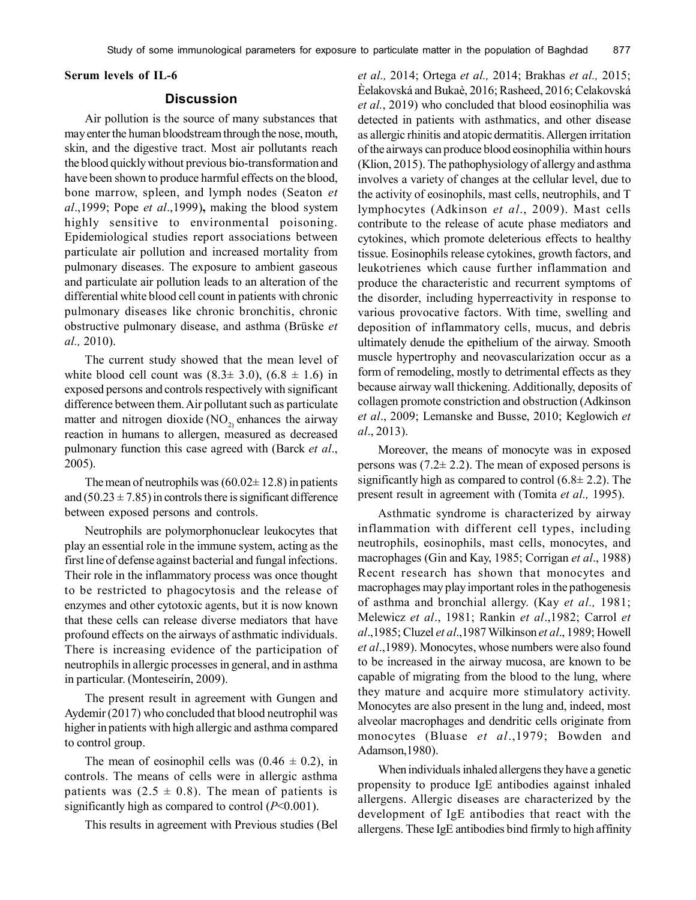# **Serum levels of IL-6**

#### **Discussion**

Air pollution is the source of many substances that may enter the human bloodstream through the nose, mouth, skin, and the digestive tract. Most air pollutants reach the blood quickly without previous bio-transformation and have been shown to produce harmful effects on the blood, bone marrow, spleen, and lymph nodes (Seaton *et al*.,1999; Pope *et al*.,1999)**,** making the blood system highly sensitive to environmental poisoning. Epidemiological studies report associations between particulate air pollution and increased mortality from pulmonary diseases. The exposure to ambient gaseous and particulate air pollution leads to an alteration of the differential white blood cell count in patients with chronic pulmonary diseases like chronic bronchitis, chronic obstructive pulmonary disease, and asthma (Brüske *et al.,* 2010).

The current study showed that the mean level of white blood cell count was  $(8.3\pm 3.0)$ ,  $(6.8 \pm 1.6)$  in exposed persons and controls respectively with significant difference between them. Air pollutant such as particulate matter and nitrogen dioxide ( $NO<sub>2</sub>$ ) enhances the airway reaction in humans to allergen, measured as decreased pulmonary function this case agreed with (Barck *et al*., 2005).

The mean of neutrophils was  $(60.02 \pm 12.8)$  in patients and  $(50.23 \pm 7.85)$  in controls there is significant difference between exposed persons and controls.

Neutrophils are polymorphonuclear leukocytes that play an essential role in the immune system, acting as the first line of defense against bacterial and fungal infections. Their role in the inflammatory process was once thought to be restricted to phagocytosis and the release of enzymes and other cytotoxic agents, but it is now known that these cells can release diverse mediators that have profound effects on the airways of asthmatic individuals. There is increasing evidence of the participation of neutrophils in allergic processes in general, and in asthma in particular. (Monteseirín, 2009).

The present result in agreement with Gungen and Aydemir (2017) who concluded that blood neutrophil was higher in patients with high allergic and asthma compared to control group.

The mean of eosinophil cells was  $(0.46 \pm 0.2)$ , in controls. The means of cells were in allergic asthma patients was  $(2.5 \pm 0.8)$ . The mean of patients is significantly high as compared to control (*P*<0.001).

This results in agreement with Previous studies (Bel

*et al.,* 2014; Ortega *et al.,* 2014; Brakhas *et al.,* 2015; Èelakovská and Bukaè, 2016; Rasheed, 2016; Celakovská *et al.*, 2019) who concluded that blood eosinophilia was detected in patients with asthmatics, and other disease as allergic rhinitis and atopic dermatitis. Allergen irritation of the airways can produce blood eosinophilia within hours (Klion, 2015). The pathophysiology of allergy and asthma involves a variety of changes at the cellular level, due to the activity of eosinophils, mast cells, neutrophils, and T lymphocytes (Adkinson *et al*., 2009). Mast cells contribute to the release of acute phase mediators and cytokines, which promote deleterious effects to healthy tissue. Eosinophils release cytokines, growth factors, and leukotrienes which cause further inflammation and produce the characteristic and recurrent symptoms of the disorder, including hyperreactivity in response to various provocative factors. With time, swelling and deposition of inflammatory cells, mucus, and debris ultimately denude the epithelium of the airway. Smooth muscle hypertrophy and neovascularization occur as a form of remodeling, mostly to detrimental effects as they because airway wall thickening. Additionally, deposits of collagen promote constriction and obstruction (Adkinson *et al*., 2009; Lemanske and Busse, 2010; Keglowich *et al*., 2013).

Moreover, the means of monocyte was in exposed persons was  $(7.2 \pm 2.2)$ . The mean of exposed persons is significantly high as compared to control  $(6.8 \pm 2.2)$ . The present result in agreement with (Tomita *et al.,* 1995).

Asthmatic syndrome is characterized by airway inflammation with different cell types, including neutrophils, eosinophils, mast cells, monocytes, and macrophages (Gin and Kay, 1985; Corrigan *et al*., 1988) Recent research has shown that monocytes and macrophages may play important roles in the pathogenesis of asthma and bronchial allergy. (Kay *et al.,* 1981; Melewicz *et al*., 1981; Rankin *et al*.,1982; Carrol *et al*.,1985; Cluzel *et al*.,1987 Wilkinson *et al*., 1989; Howell *et al*.,1989). Monocytes, whose numbers were also found to be increased in the airway mucosa, are known to be capable of migrating from the blood to the lung, where they mature and acquire more stimulatory activity. Monocytes are also present in the lung and, indeed, most alveolar macrophages and dendritic cells originate from monocytes (Bluase *et al*.,1979; Bowden and Adamson,1980).

When individuals inhaled allergens they have a genetic propensity to produce IgE antibodies against inhaled allergens. Allergic diseases are characterized by the development of IgE antibodies that react with the allergens. These IgE antibodies bind firmly to high affinity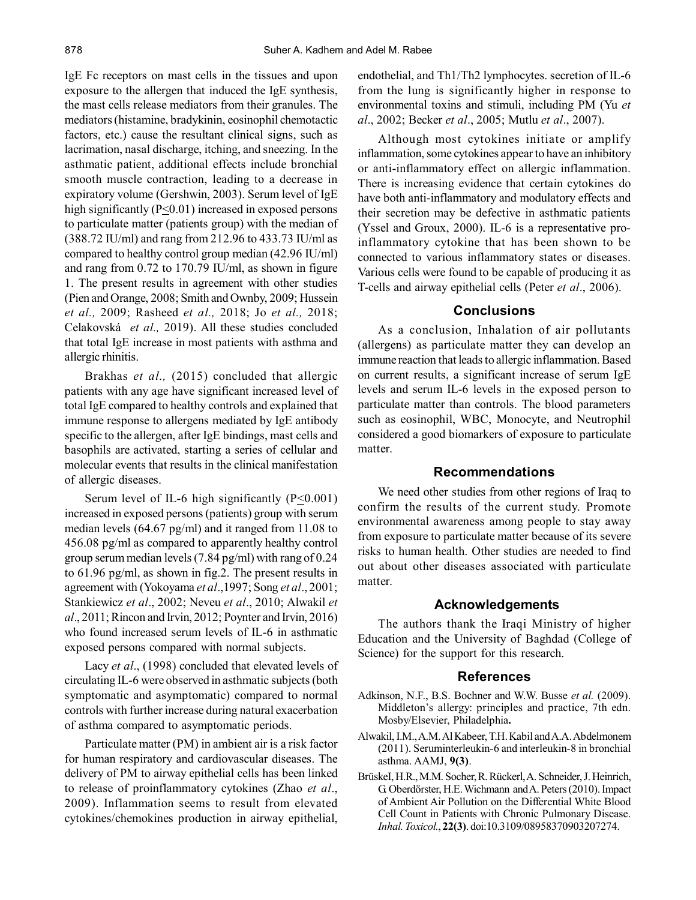IgE Fc receptors on mast cells in the tissues and upon exposure to the allergen that induced the IgE synthesis, the mast cells release mediators from their granules. The mediators (histamine, bradykinin, eosinophil chemotactic factors, etc.) cause the resultant clinical signs, such as lacrimation, nasal discharge, itching, and sneezing. In the asthmatic patient, additional effects include bronchial smooth muscle contraction, leading to a decrease in expiratory volume (Gershwin, 2003). Serum level of IgE high significantly (P<0.01) increased in exposed persons to particulate matter (patients group) with the median of (388.72 IU/ml) and rang from 212.96 to 433.73 IU/ml as compared to healthy control group median (42.96 IU/ml) and rang from 0.72 to 170.79 IU/ml, as shown in figure 1. The present results in agreement with other studies (Pien and Orange, 2008; Smith and Ownby, 2009; Hussein *et al.,* 2009; Rasheed *et al.,* 2018; Jo *et al.,* 2018; Celakovská *et al.,* 2019). All these studies concluded that total IgE increase in most patients with asthma and allergic rhinitis.

Brakhas *et al.,* (2015) concluded that allergic patients with any age have significant increased level of total IgE compared to healthy controls and explained that immune response to allergens mediated by IgE antibody specific to the allergen, after IgE bindings, mast cells and basophils are activated, starting a series of cellular and molecular events that results in the clinical manifestation of allergic diseases.

Serum level of IL-6 high significantly  $(P \le 0.001)$ increased in exposed persons (patients) group with serum median levels (64.67 pg/ml) and it ranged from 11.08 to 456.08 pg/ml as compared to apparently healthy control group serum median levels (7.84 pg/ml) with rang of 0.24 to 61.96 pg/ml, as shown in fig.2. The present results in agreement with (Yokoyama *et al*.,1997; Song *et al*., 2001; Stankiewicz *et al*., 2002; Neveu *et al*., 2010; Alwakil *et al*., 2011; Rincon and Irvin, 2012; Poynter and Irvin, 2016) who found increased serum levels of IL-6 in asthmatic exposed persons compared with normal subjects.

Lacy *et al.*, (1998) concluded that elevated levels of circulating IL-6 were observed in asthmatic subjects (both symptomatic and asymptomatic) compared to normal controls with further increase during natural exacerbation of asthma compared to asymptomatic periods.

Particulate matter (PM) in ambient air is a risk factor for human respiratory and cardiovascular diseases. The delivery of PM to airway epithelial cells has been linked to release of proinflammatory cytokines (Zhao *et al*., 2009). Inflammation seems to result from elevated cytokines/chemokines production in airway epithelial, endothelial, and Th1/Th2 lymphocytes. secretion of IL-6 from the lung is significantly higher in response to environmental toxins and stimuli, including PM (Yu *et al*., 2002; Becker *et al*., 2005; Mutlu *et al*., 2007).

Although most cytokines initiate or amplify inflammation, some cytokines appear to have an inhibitory or anti-inflammatory effect on allergic inflammation. There is increasing evidence that certain cytokines do have both anti-inflammatory and modulatory effects and their secretion may be defective in asthmatic patients (Yssel and Groux, 2000). IL-6 is a representative proinflammatory cytokine that has been shown to be connected to various inflammatory states or diseases. Various cells were found to be capable of producing it as T-cells and airway epithelial cells (Peter *et al*., 2006).

#### **Conclusions**

As a conclusion, Inhalation of air pollutants (allergens) as particulate matter they can develop an immune reaction that leads to allergic inflammation. Based on current results, a significant increase of serum IgE levels and serum IL-6 levels in the exposed person to particulate matter than controls. The blood parameters such as eosinophil, WBC, Monocyte, and Neutrophil considered a good biomarkers of exposure to particulate matter.

## **Recommendations**

We need other studies from other regions of Iraq to confirm the results of the current study. Promote environmental awareness among people to stay away from exposure to particulate matter because of its severe risks to human health. Other studies are needed to find out about other diseases associated with particulate matter.

#### **Acknowledgements**

The authors thank the Iraqi Ministry of higher Education and the University of Baghdad (College of Science) for the support for this research.

#### **References**

- Adkinson, N.F., B.S. Bochner and W.W. Busse *et al.* (2009). Middleton's allergy: principles and practice, 7th edn. Mosby/Elsevier, Philadelphia**.**
- Alwakil, I.M., A.M. Al Kabeer, T.H. Kabil and A.A. Abdelmonem (2011). Seruminterleukin-6 and interleukin-8 in bronchial asthma. AAMJ, **9(3)**.
- BrüskeI, H.R., M.M. Socher, R. Rückerl, A. Schneider, J. Heinrich, G. Oberdörster, H.E. Wichmann and A. Peters (2010). Impact of Ambient Air Pollution on the Differential White Blood Cell Count in Patients with Chronic Pulmonary Disease. *Inhal. Toxicol.*, **22(3)**. doi:10.3109/08958370903207274.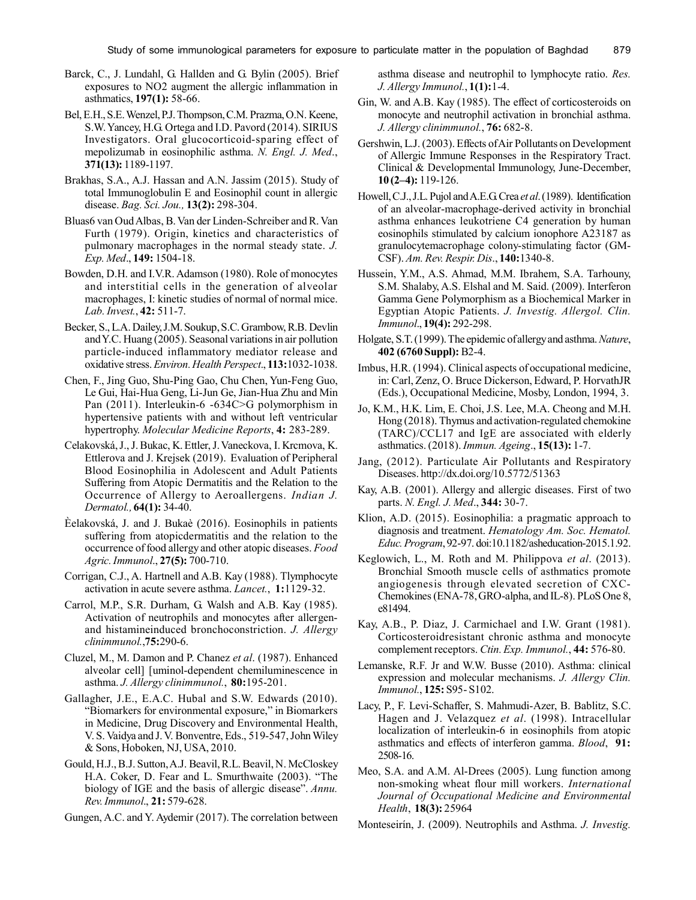- Barck, C., J. Lundahl, G. Hallden and G. Bylin (2005). Brief exposures to NO2 augment the allergic inflammation in asthmatics, **197(1):** 58-66.
- Bel, E.H., S.E. Wenzel, P.J. Thompson, C.M. Prazma, O.N. Keene, S.W. Yancey, H.G. Ortega and I.D. Pavord (2014). SIRIUS Investigators. Oral glucocorticoid-sparing effect of mepolizumab in eosinophilic asthma. *N. Engl. J. Med*., **371(13):** 1189-1197.
- Brakhas, S.A., A.J. Hassan and A.N. Jassim (2015). Study of total Immunoglobulin E and Eosinophil count in allergic disease. *Bag. Sci. Jou.,* **13(2):** 298-304.
- Bluas6 van Oud Albas, B. Van der Linden-Schreiber and R. Van Furth (1979). Origin, kinetics and characteristics of pulmonary macrophages in the normal steady state. *J. Exp. Med*., **149:** 1504-18.
- Bowden, D.H. and I.V.R. Adamson (1980). Role of monocytes and interstitial cells in the generation of alveolar macrophages, I: kinetic studies of normal of normal mice. *Lab. Invest.*, **42:** 511-7.
- Becker, S., L.A. Dailey, J.M. Soukup, S.C. Grambow, R.B. Devlin and Y.C. Huang (2005). Seasonal variations in air pollution particle-induced inflammatory mediator release and oxidative stress. *Environ. Health Perspect*., **113:**1032-1038.
- Chen, F., Jing Guo, Shu-Ping Gao, Chu Chen, Yun-Feng Guo, Le Gui, Hai-Hua Geng, Li-Jun Ge, Jian-Hua Zhu and Min Pan (2011). Interleukin-6 -634C>G polymorphism in hypertensive patients with and without left ventricular hypertrophy. *Molecular Medicine Reports*, **4:** 283-289.
- Celakovská, J., J. Bukac, K. Ettler, J. Vaneckova, I. Krcmova, K. Ettlerova and J. Krejsek (2019). Evaluation of Peripheral Blood Eosinophilia in Adolescent and Adult Patients Suffering from Atopic Dermatitis and the Relation to the Occurrence of Allergy to Aeroallergens. *Indian J. Dermatol.,* **64(1):** 34-40.
- Èelakovská, J. and J. Bukaè (2016). Eosinophils in patients suffering from atopicdermatitis and the relation to the occurrence of food allergy and other atopic diseases. *Food Agric. Immunol*., **27(5):** 700-710.
- Corrigan, C.J., A. Hartnell and A.B. Kay (1988). Tlymphocyte activation in acute severe asthma. *Lancet.*, **1:**1129-32.
- Carrol, M.P., S.R. Durham, G. Walsh and A.B. Kay (1985). Activation of neutrophils and monocytes after allergenand histamineinduced bronchoconstriction. *J. Allergy clinimmunol.*,**75:**290-6.
- Cluzel, M., M. Damon and P. Chanez *et al*. (1987). Enhanced alveolar cell] [uminol-dependent chemiluminescence in asthma. *J. Allergy clinimmunol.*, **80:**195-201.
- Gallagher, J.E., E.A.C. Hubal and S.W. Edwards (2010). "Biomarkers for environmental exposure," in Biomarkers in Medicine, Drug Discovery and Environmental Health, V. S. Vaidya and J. V. Bonventre, Eds., 519-547, John Wiley & Sons, Hoboken, NJ, USA, 2010.
- Gould, H.J., B.J. Sutton, A.J. Beavil, R.L. Beavil, N. McCloskey H.A. Coker, D. Fear and L. Smurthwaite (2003). "The biology of IGE and the basis of allergic disease". *Annu. Rev. Immunol*., **21:** 579-628.
- Gungen, A.C. and Y. Aydemir (2017). The correlation between

asthma disease and neutrophil to lymphocyte ratio. *Res. J. Allergy Immunol.*, **1(1):**1-4.

- Gin, W. and A.B. Kay (1985). The effect of corticosteroids on monocyte and neutrophil activation in bronchial asthma. *J. Allergy clinimmunol.*, **76:** 682-8.
- Gershwin, L.J. (2003). Effects of Air Pollutants on Development of Allergic Immune Responses in the Respiratory Tract. Clinical & Developmental Immunology, June-December, **10 (2–4):** 119-126.
- Howell, C.J., J.L. Pujol and A.E.G. Crea *et al*. (1989). Identification of an alveolar-macrophage-derived activity in bronchial asthma enhances leukotriene C4 generation by human eosinophils stimulated by calcium ionophore A23187 as granulocytemacrophage colony-stimulating factor (GM-CSF). *Am. Rev. Respir. Dis*., **140:**1340-8.
- Hussein, Y.M., A.S. Ahmad, M.M. Ibrahem, S.A. Tarhouny, S.M. Shalaby, A.S. Elshal and M. Said. (2009). Interferon Gamma Gene Polymorphism as a Biochemical Marker in Egyptian Atopic Patients. *J. Investig. Allergol. Clin. Immunol*., **19(4):** 292-298.
- Holgate, S.T. (1999). The epidemic of allergy and asthma. *Nature*, **402 (6760 Suppl):** B2-4.
- Imbus, H.R. (1994). Clinical aspects of occupational medicine, in: Carl, Zenz, O. Bruce Dickerson, Edward, P. HorvathJR (Eds.), Occupational Medicine, Mosby, London, 1994, 3.
- Jo, K.M., H.K. Lim, E. Choi, J.S. Lee, M.A. Cheong and M.H. Hong (2018). Thymus and activation-regulated chemokine (TARC)/CCL17 and IgE are associated with elderly asthmatics. (2018). *Immun. Ageing*., **15(13):** 1-7.
- Jang, (2012). Particulate Air Pollutants and Respiratory Diseases. http://dx.doi.org/10.5772/51363
- Kay, A.B. (2001). Allergy and allergic diseases. First of two parts. *N. Engl. J. Med*., **344:** 30-7.
- Klion, A.D. (2015). Eosinophilia: a pragmatic approach to diagnosis and treatment. *Hematology Am. Soc. Hematol. Educ. Program*, 92-97. doi:10.1182/asheducation-2015.1.92.
- Keglowich, L., M. Roth and M. Philippova *et al*. (2013). Bronchial Smooth muscle cells of asthmatics promote angiogenesis through elevated secretion of CXC-Chemokines (ENA-78, GRO-alpha, and IL-8). PLoS One 8, e81494.
- Kay, A.B., P. Diaz, J. Carmichael and I.W. Grant (1981). Corticosteroidresistant chronic asthma and monocyte complement receptors. *Ctin. Exp. Immunol.*, **44:** 576-80.
- Lemanske, R.F. Jr and W.W. Busse (2010). Asthma: clinical expression and molecular mechanisms. *J. Allergy Clin. Immunol.*, **125:** S95- S102.
- Lacy, P., F. Levi-Schaffer, S. Mahmudi-Azer, B. Bablitz, S.C. Hagen and J. Velazquez *et al*. (1998). Intracellular localization of interleukin-6 in eosinophils from atopic asthmatics and effects of interferon gamma. *Blood*, **91:** 2508-16.
- Meo, S.A. and A.M. Al-Drees (2005). Lung function among non-smoking wheat flour mill workers. *International Journal of Occupational Medicine and Environmental Health*, **18(3):** 25964
- Monteseirín, J. (2009). Neutrophils and Asthma. *J. Investig.*